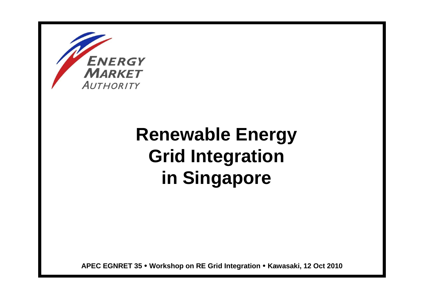

Smart Energy, Sustainable Future

# **Renewable Energy Grid Integration in Singapore**

**APEC EGNRET 35 Workshop on RE Grid Integration Kawasaki, 12 Oct 2010**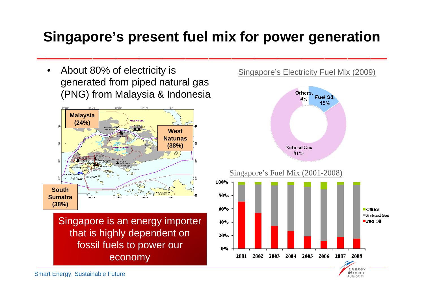#### **Singapore's present fuel mix for power generation**

• About 80% of electricity is generated from piped natural gas (PNG) from Malaysia & Indonesia



Singapore is an energy importer that is highly dependent on fossil fuels to power our economy

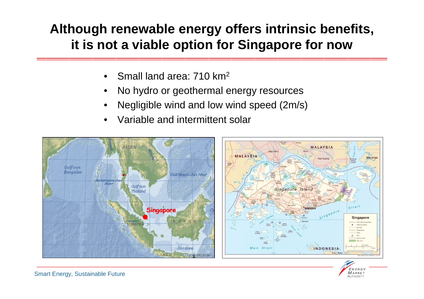#### **Although renewable energy offers intrinsic benefits, it is not a viable option for Singapore for now**

- •Small land area: 710 km<sup>2</sup>
- •No hydro or geothermal energy resources
- •Negligible wind and low wind speed (2m/s)
- •Variable and intermittent solar



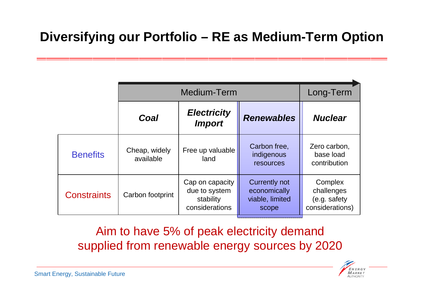#### **Diversifying our Portfolio – RE as Medium-Term Option**

|                    | Medium-Term                |                                                                 |                                                                  | Long-Term                                                |
|--------------------|----------------------------|-----------------------------------------------------------------|------------------------------------------------------------------|----------------------------------------------------------|
|                    | Coal                       | <b>Electricity</b><br><b>Import</b>                             | <b>Renewables</b>                                                | <b>Nuclear</b>                                           |
| <b>Benefits</b>    | Cheap, widely<br>available | Free up valuable<br>land                                        | Carbon free,<br>indigenous<br>resources                          | Zero carbon,<br>base load<br>contribution                |
| <b>Constraints</b> | Carbon footprint           | Cap on capacity<br>due to system<br>stability<br>considerations | <b>Currently not</b><br>economically<br>viable, limited<br>scope | Complex<br>challenges<br>(e.g. safety<br>considerations) |

Aim to have 5% of peak electricity demand supplied from renewable energy sources by 2020

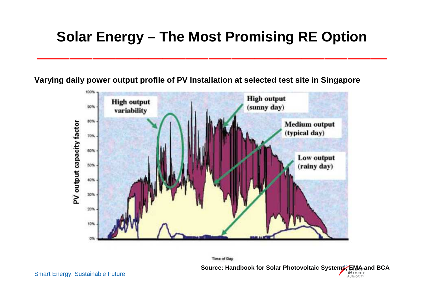### **Solar Energy – The Most Promising RE Option**

**Varying daily power output profile of PV Installation at selected test site in Singapore**



**Time of Day** 

**Source: Handbook for Solar Photovoltaic Systems, EMA and BCA**

**AUTHORITY**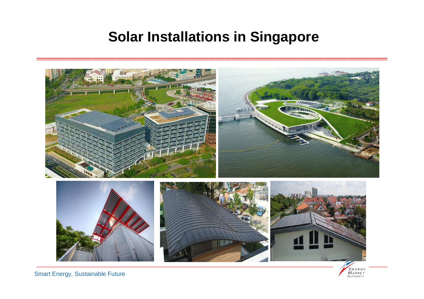#### **Solar Installations in Singapore**

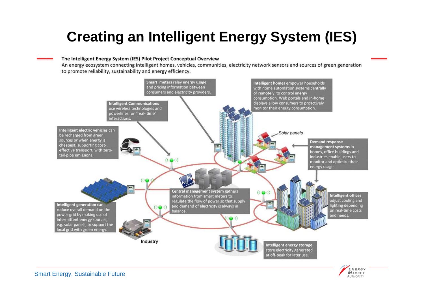## **Creating an Intelligent Energy System (IES)**

#### The Intelligent Energy System (IES) Pilot Project Conceptual Overview

An energy ecosystem connecting intelligent homes, vehicles, communities, electricity network sensors and sources of green generation to promote reliability, sustainability and energy efficiency.



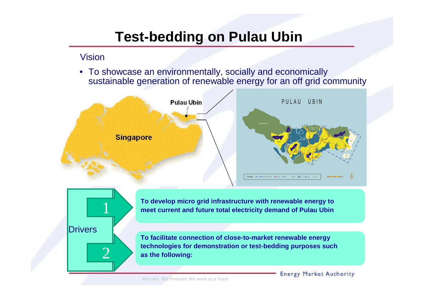#### **Test-bedding on Pulau Ubin**

#### Vision

Smart Energy, Sustainable Future

**Drivers** 

1

2

• To showcase an environmentally, socially and economically sustainable generation of renewable energy for an off grid community



**To develop micro grid infrastructure with renewable energy to meet current and future total electricity demand of Pulau Ubin**

**To facilitate connection of close-to-market renewable energy technologies for demonstration or test-bedding purposes such as the following:**

We care We Innovate We work as a Team

**Energy Market Authority**